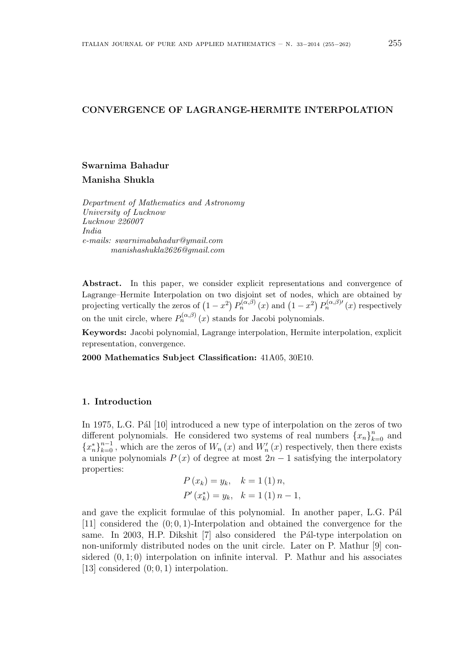### CONVERGENCE OF LAGRANGE-HERMITE INTERPOLATION

# Swarnima Bahadur

Manisha Shukla

Department of Mathematics and Astronomy University of Lucknow Lucknow 226007 India e-mails: swarnimabahadur@ymail.com manishashukla2626@gmail.com

Abstract. In this paper, we consider explicit representations and convergence of Lagrange–Hermite Interpolation on two disjoint set of nodes, which are obtained by projecting vertically the zeros of  $(1-x^2) P_n^{(\alpha,\beta)}(x)$  and  $(1-x^2) P_n^{(\alpha,\beta)}(x)$  respectively disjoint set of hodes,<br> $P_n^{(\alpha,\beta)}(x)$  and  $(1-x^2)$  $P_n^{(\alpha,\beta)}(x)$  respectively on the unit circle, where  $P_n^{(\alpha,\beta)}(x)$  stands for Jacobi polynomials.

Keywords: Jacobi polynomial, Lagrange interpolation, Hermite interpolation, explicit representation, convergence.

2000 Mathematics Subject Classification: 41A05, 30E10.

### 1. Introduction

In 1975, L.G. P $\acute{a}$  [10] introduced a new type of interpolation on the zeros of two different polynomials. He considered two systems of real numbers  $\{x_n\}_{k=0}^n$  and  ${x_n^*}_{k=0}^{n-1}$ , which are the zeros of  $W_n(x)$  and  $W'_n(x)$  respectively, then there exists a unique polynomials  $P(x)$  of degree at most  $2n-1$  satisfying the interpolatory properties:

$$
P(x_k) = y_k, \quad k = 1 (1) n,
$$
  
\n $P'(x_k^*) = y_k, \quad k = 1 (1) n - 1,$ 

and gave the explicit formulae of this polynomial. In another paper, L.G. Pal [11] considered the  $(0, 0, 1)$ -Interpolation and obtained the convergence for the same. In 2003, H.P. Dikshit  $[7]$  also considered the Pál-type interpolation on non-uniformly distributed nodes on the unit circle. Later on P. Mathur [9] considered  $(0, 1; 0)$  interpolation on infinite interval. P. Mathur and his associates [13] considered (0; 0, 1) interpolation.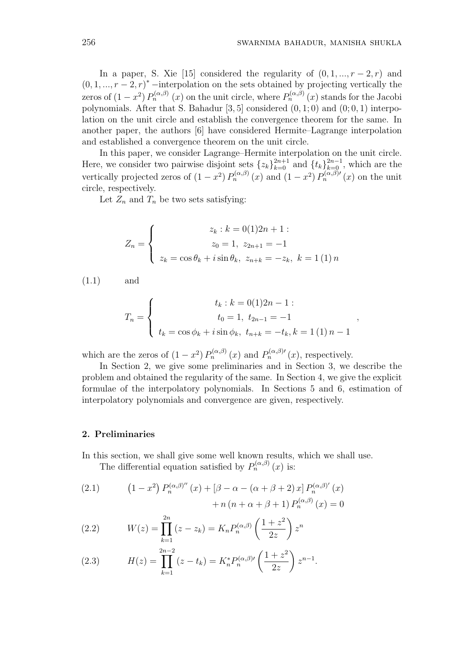In a paper, S. Xie [15] considered the regularity of  $(0, 1, ..., r-2, r)$  and  $(0, 1, ..., r-2, r)^*$  –interpolation on the sets obtained by projecting vertically the zeros of  $(1-x^2) P_n^{(\alpha,\beta)}(x)$  on the unit circle, where  $P_n^{(\alpha,\beta)}(x)$  stands for the Jacobi polynomials. After that S. Bahadur  $[3, 5]$  considered  $(0, 1; 0)$  and  $(0; 0, 1)$  interpolation on the unit circle and establish the convergence theorem for the same. In another paper, the authors [6] have considered Hermite–Lagrange interpolation and established a convergence theorem on the unit circle.

In this paper, we consider Lagrange–Hermite interpolation on the unit circle. Here, we consider two pairwise disjoint sets  $\{z_k\}_{k=0}^{2n+1}$  and  $\{t_k\}_{k=0}^{2n-1}$ , which are the vertically projected zeros of  $(1-x^2) P_n^{(\alpha,\beta)}(x)$  and  $(1-x^2) P_n^{(\alpha,\beta)}(x)$  on the unit circle, respectively.

Let  $Z_n$  and  $T_n$  be two sets satisfying:

$$
Z_n = \begin{cases} z_k : k = 0(1)2n + 1 : \\ z_0 = 1, \ z_{2n+1} = -1 \\ z_k = \cos \theta_k + i \sin \theta_k, \ z_{n+k} = -z_k, \ k = 1 (1) n \end{cases}
$$

(1.1) and

$$
T_n = \begin{cases} t_k : k = 0(1)2n - 1: \\ t_0 = 1, t_{2n-1} = -1 \\ t_k = \cos \phi_k + i \sin \phi_k, t_{n+k} = -t_k, k = 1(1) n - 1 \end{cases}
$$

which are the zeros of  $(1-x^2) P_n^{(\alpha,\beta)}(x)$  and  $P_n^{(\alpha,\beta)}(x)$ , respectively.

In Section 2, we give some preliminaries and in Section 3, we describe the problem and obtained the regularity of the same. In Section 4, we give the explicit formulae of the interpolatory polynomials. In Sections 5 and 6, estimation of interpolatory polynomials and convergence are given, respectively.

#### 2. Preliminaries

In this section, we shall give some well known results, which we shall use.

The differential equation satisfied by  $P_n^{(\alpha,\beta)}(x)$  is:

(2.1) 
$$
(1 - x^2) P_n^{(\alpha, \beta)''}(x) + [\beta - \alpha - (\alpha + \beta + 2) x] P_n^{(\alpha, \beta)'}(x) + n (n + \alpha + \beta + 1) P_n^{(\alpha, \beta)}(x) = 0
$$

(2.2) 
$$
W(z) = \prod_{k=1}^{2n} (z - z_k) = K_n P_n^{(\alpha, \beta)} \left( \frac{1 + z^2}{2z} \right) z^n
$$

(2.3) 
$$
H(z) = \prod_{k=1}^{2n-2} (z - t_k) = K_n^* P_n^{(\alpha, \beta)} \left( \frac{1 + z^2}{2z} \right) z^{n-1}.
$$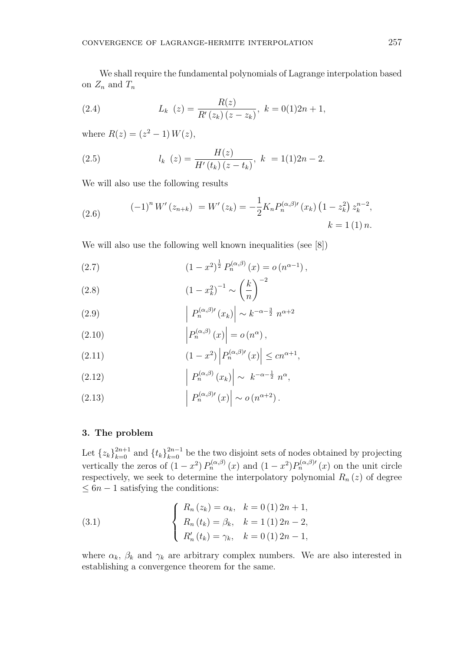We shall require the fundamental polynomials of Lagrange interpolation based on  $Z_n$  and  $T_n$ 

(2.4) 
$$
L_k(z) = \frac{R(z)}{R'(z_k)(z - z_k)}, \ k = 0(1)2n + 1,
$$

where  $R(z) = (z^2 - 1) W(z)$ ,

(2.5) 
$$
l_k(z) = \frac{H(z)}{H'(t_k)(z - t_k)}, \ k = 1(1)2n - 2.
$$

We will also use the following results

(2.6) 
$$
(-1)^n W'(z_{n+k}) = W'(z_k) = -\frac{1}{2} K_n P_n^{(\alpha,\beta)}(x_k) (1 - z_k^2) z_k^{n-2},
$$

$$
k = 1 (1) n.
$$

We will also use the following well known inequalities (see [8])

(2.7) 
$$
(1-x^2)^{\frac{1}{2}} P_n^{(\alpha,\beta)}(x) = o(n^{\alpha-1}),
$$

(2.8) 
$$
(1 - x_k^2)^{-1} \sim \left(\frac{k}{n}\right)^{-2}
$$

(2.9) 
$$
\left| P_n^{(\alpha,\beta)}(x_k) \right| \sim k^{-\alpha - \frac{3}{2}} n^{\alpha + 2}
$$

$$
\left| P_n^{(\alpha,\beta)}(x_k) \right| \sim k^{-\alpha - \frac{3}{2}} n^{\alpha + 2}
$$

(2.10) 
$$
\left| P_n^{(\alpha,\beta)}(x) \right| = o(n^{\alpha}),
$$

(2.11) 
$$
(1-x^2) \left| P_n^{(\alpha,\beta)}(x) \right| \le c n^{\alpha+1},
$$

$$
\left| P_n^{(\alpha,\beta)}(x) \right| \le c n^{\alpha+1},
$$

(2.12) 
$$
\left| P_n^{(\alpha,\beta)}(x_k) \right| \sim k^{-\alpha - \frac{1}{2}} n^{\alpha},
$$

(2.13)  $\mid P_n^{(\alpha,\beta)}(x)\right|$  $\mid \sim o(n^{\alpha+2})$ .

## 3. The problem

Let  $\{z_k\}_{k=0}^{2n+1}$  and  $\{t_k\}_{k=0}^{2n-1}$  be the two disjoint sets of nodes obtained by projecting vertically the zeros of  $(1-x^2)P_n^{(\alpha,\beta)}(x)$  and  $(1-x^2)P_n^{(\alpha,\beta)}(x)$  on the unit circle respectively, we seek to determine the interpolatory polynomial  $R_n(z)$  of degree  $\leq 6n - 1$  satisfying the conditions:

(3.1) 
$$
\begin{cases} R_n(z_k) = \alpha_k, & k = 0 (1) 2n + 1, \\ R_n(t_k) = \beta_k, & k = 1 (1) 2n - 2, \\ R'_n(t_k) = \gamma_k, & k = 0 (1) 2n - 1, \end{cases}
$$

where  $\alpha_k$ ,  $\beta_k$  and  $\gamma_k$  are arbitrary complex numbers. We are also interested in establishing a convergence theorem for the same.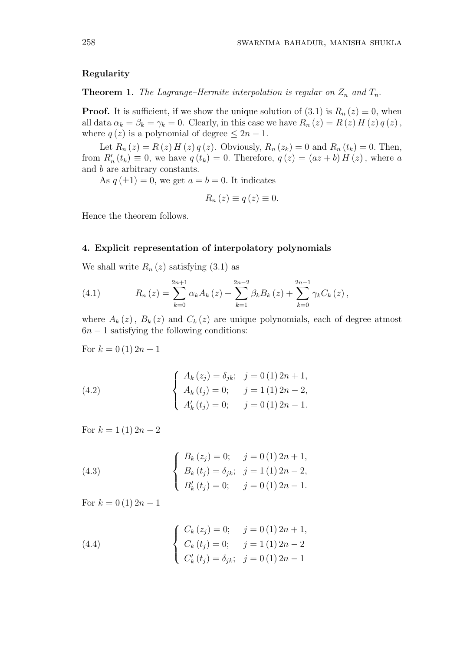## Regularity

**Theorem 1.** The Lagrange–Hermite interpolation is regular on  $Z_n$  and  $T_n$ .

**Proof.** It is sufficient, if we show the unique solution of  $(3.1)$  is  $R_n(z) \equiv 0$ , when all data  $\alpha_k = \beta_k = \gamma_k = 0$ . Clearly, in this case we have  $R_n(z) = R(z) H(z) q(z)$ , where  $q(z)$  is a polynomial of degree  $\leq 2n - 1$ .

Let  $R_n(z) = R(z) H(z) q(z)$ . Obviously,  $R_n(z_k) = 0$  and  $R_n(t_k) = 0$ . Then, from  $R_n'(t_k) \equiv 0$ , we have  $q(t_k) = 0$ . Therefore,  $q(z) = (az + b) H(z)$ , where a and b are arbitrary constants.

As  $q(\pm 1) = 0$ , we get  $a = b = 0$ . It indicates

$$
R_n(z) \equiv q(z) \equiv 0.
$$

Hence the theorem follows.

#### 4. Explicit representation of interpolatory polynomials

We shall write  $R_n(z)$  satisfying  $(3.1)$  as

(4.1) 
$$
R_n(z) = \sum_{k=0}^{2n+1} \alpha_k A_k(z) + \sum_{k=1}^{2n-2} \beta_k B_k(z) + \sum_{k=0}^{2n-1} \gamma_k C_k(z),
$$

where  $A_k(z)$ ,  $B_k(z)$  and  $C_k(z)$  are unique polynomials, each of degree atmost  $6n - 1$  satisfying the following conditions:

For  $k = 0 (1) 2n + 1$ 

(4.2) 
$$
\begin{cases} A_k(z_j) = \delta_{jk}; & j = 0 (1) 2n + 1, \\ A_k(t_j) = 0; & j = 1 (1) 2n - 2, \\ A'_k(t_j) = 0; & j = 0 (1) 2n - 1. \end{cases}
$$

For  $k = 1 (1) 2n - 2$ 

(4.3) 
$$
\begin{cases} B_k(z_j) = 0; \quad j = 0 \ (1) \ 2n + 1, \\ B_k(t_j) = \delta_{jk}; \quad j = 1 \ (1) \ 2n - 2, \\ B'_k(t_j) = 0; \quad j = 0 \ (1) \ 2n - 1. \end{cases}
$$

For  $k = 0$  (1)  $2n - 1$ 

(4.4) 
$$
\begin{cases} C_k (z_j) = 0; & j = 0 \ (1) \ 2n + 1, \\ C_k (t_j) = 0; & j = 1 \ (1) \ 2n - 2 \\ C'_k (t_j) = \delta_{jk}; & j = 0 \ (1) \ 2n - 1 \end{cases}
$$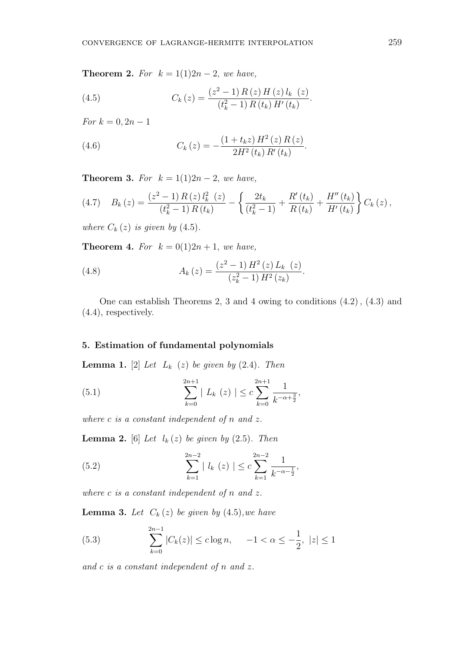Theorem 2. For  $k = 1(1)2n - 2$ , we have,

(4.5) 
$$
C_k(z) = \frac{(z^2 - 1) R(z) H(z) l_k(z)}{(t_k^2 - 1) R(t_k) H'(t_k)}.
$$

For  $k = 0, 2n - 1$ 

(4.6) 
$$
C_k(z) = -\frac{(1+t_k z) H^2(z) R(z)}{2H^2(t_k) R'(t_k)}
$$

Theorem 3. For  $k = 1(1)2n - 2$ , we have,

$$
(4.7) \tBk(z) = \frac{(z^2 - 1) R(z) l_k^2(z)}{(t_k^2 - 1) R(t_k)} - \left\{ \frac{2t_k}{(t_k^2 - 1)} + \frac{R'(t_k)}{R(t_k)} + \frac{H''(t_k)}{H'(t_k)} \right\} C_k(z),
$$

.

where  $C_k(z)$  is given by  $(4.5)$ .

**Theorem 4.** For  $k = 0(1)2n + 1$ , we have,

(4.8) 
$$
A_k(z) = \frac{(z^2 - 1) H^2(z) L_k(z)}{(z_k^2 - 1) H^2(z_k)}.
$$

One can establish Theorems 2, 3 and 4 owing to conditions (4.2), (4.3) and (4.4), respectively.

## 5. Estimation of fundamental polynomials

**Lemma 1.** [2] Let  $L_k$  (z) be given by  $(2.4)$ . Then

(5.1) 
$$
\sum_{k=0}^{2n+1} | L_k (z) | \leq c \sum_{k=0}^{2n+1} \frac{1}{k^{-\alpha + \frac{3}{2}}},
$$

where  $c$  is a constant independent of  $n$  and  $z$ .

**Lemma 2.** [6] Let  $l_k(z)$  be given by (2.5). Then

(5.2) 
$$
\sum_{k=1}^{2n-2} |l_k(z)| \leq c \sum_{k=1}^{2n-2} \frac{1}{k^{-\alpha - \frac{1}{2}}},
$$

where c is a constant independent of n and z.

**Lemma 3.** Let  $C_k(z)$  be given by  $(4.5)$ , we have

(5.3) 
$$
\sum_{k=0}^{2n-1} |C_k(z)| \le c \log n, \quad -1 < \alpha \le -\frac{1}{2}, \ |z| \le 1
$$

and c is a constant independent of n and z.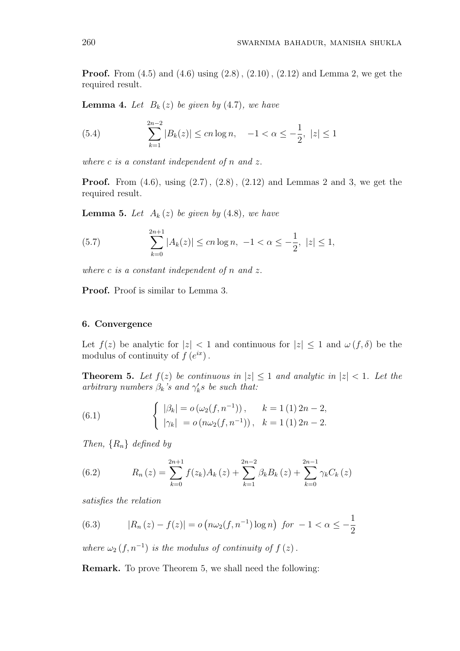**Proof.** From  $(4.5)$  and  $(4.6)$  using  $(2.8)$ ,  $(2.10)$ ,  $(2.12)$  and Lemma 2, we get the required result.

**Lemma 4.** Let  $B_k(z)$  be given by (4.7), we have

(5.4) 
$$
\sum_{k=1}^{2n-2} |B_k(z)| \le cn \log n, \quad -1 < \alpha \le -\frac{1}{2}, \ |z| \le 1
$$

where c is a constant independent of n and z.

**Proof.** From  $(4.6)$ , using  $(2.7)$ ,  $(2.8)$ ,  $(2.12)$  and Lemmas 2 and 3, we get the required result.

**Lemma 5.** Let  $A_k(z)$  be given by (4.8), we have

(5.7) 
$$
\sum_{k=0}^{2n+1} |A_k(z)| \le cn \log n, \ -1 < \alpha \le -\frac{1}{2}, \ |z| \le 1,
$$

where c is a constant independent of n and z.

Proof. Proof is similar to Lemma 3.

### 6. Convergence

Let  $f(z)$  be analytic for  $|z| < 1$  and continuous for  $|z| \leq 1$  and  $\omega(f, \delta)$  be the modulus of continuity of  $f(e^{ix})$ .

**Theorem 5.** Let  $f(z)$  be continuous in  $|z| \leq 1$  and analytic in  $|z| < 1$ . Let the arbitrary numbers  $\beta_k$ 's and  $\gamma'_k$ s be such that:

(6.1) 
$$
\begin{cases} |\beta_k| = o(\omega_2(f, n^{-1})), & k = 1 (1) 2n - 2, \\ |\gamma_k| = o(n\omega_2(f, n^{-1})), & k = 1 (1) 2n - 2. \end{cases}
$$

Then,  $\{R_n\}$  defined by

(6.2) 
$$
R_n(z) = \sum_{k=0}^{2n+1} f(z_k) A_k(z) + \sum_{k=1}^{2n-2} \beta_k B_k(z) + \sum_{k=0}^{2n-1} \gamma_k C_k(z)
$$

satisfies the relation

(6.3) 
$$
|R_n(z) - f(z)| = o\left(n\omega_2(f, n^{-1})\log n\right) \text{ for } -1 < \alpha \le -\frac{1}{2}
$$

where  $\omega_2(f, n^{-1})$  is the modulus of continuity of  $f(z)$ .

Remark. To prove Theorem 5, we shall need the following: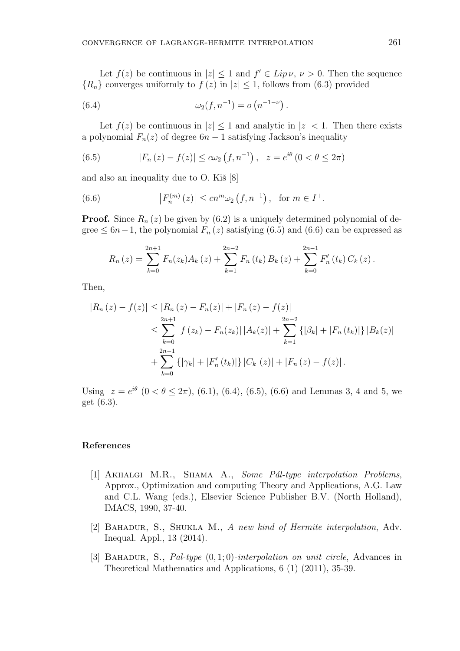Let  $f(z)$  be continuous in  $|z| \leq 1$  and  $f' \in Lip \nu, \nu > 0$ . Then the sequence  ${R_n}$  converges uniformly to  $f(z)$  in  $|z| \leq 1$ , follows from (6.3) provided

(6.4) 
$$
\omega_2(f, n^{-1}) = o(n^{-1-\nu}).
$$

Let  $f(z)$  be continuous in  $|z| \leq 1$  and analytic in  $|z| < 1$ . Then there exists a polynomial  $F_n(z)$  of degree  $6n-1$  satisfying Jackson's inequality

(6.5) 
$$
|F_n(z) - f(z)| \leq c\omega_2(f, n^{-1}), \quad z = e^{i\theta} (0 < \theta \leq 2\pi)
$$

and also an inequality due to  $O$ . Kiš  $[8]$ 

(6.6) 
$$
|F_n^{(m)}(z)| \leq cn^m \omega_2(f, n^{-1}), \text{ for } m \in I^+.
$$

**Proof.** Since  $R_n(z)$  be given by (6.2) is a uniquely determined polynomial of degree  $\leq 6n-1$ , the polynomial  $F_n(z)$  satisfying (6.5) and (6.6) can be expressed as

$$
R_n(z) = \sum_{k=0}^{2n+1} F_n(z_k) A_k(z) + \sum_{k=1}^{2n-2} F_n(t_k) B_k(z) + \sum_{k=0}^{2n-1} F'_n(t_k) C_k(z).
$$

Then,

$$
|R_n(z) - f(z)| \le |R_n(z) - F_n(z)| + |F_n(z) - f(z)|
$$
  
\n
$$
\le \sum_{k=0}^{2n+1} |f(z_k) - F_n(z_k)| |A_k(z)| + \sum_{k=1}^{2n-2} \{ |\beta_k| + |F_n(t_k)| \} |B_k(z)|
$$
  
\n
$$
+ \sum_{k=0}^{2n-1} \{ |\gamma_k| + |F'_n(t_k)| \} |C_k(z)| + |F_n(z) - f(z)|.
$$

Using  $z = e^{i\theta}$   $(0 \lt \theta \leq 2\pi)$ , (6.1), (6.4), (6.5), (6.6) and Lemmas 3, 4 and 5, we get (6.3).

# References

- [1] AKHALGI M.R., SHAMA A., Some Pál-type interpolation Problems, Approx., Optimization and computing Theory and Applications, A.G. Law and C.L. Wang (eds.), Elsevier Science Publisher B.V. (North Holland), IMACS, 1990, 37-40.
- [2] BAHADUR, S., SHUKLA M., A new kind of Hermite interpolation, Adv. Inequal. Appl., 13 (2014).
- [3] BAHADUR, S., *Pal-type*  $(0, 1; 0)$ -interpolation on unit circle, Advances in Theoretical Mathematics and Applications, 6 (1) (2011), 35-39.